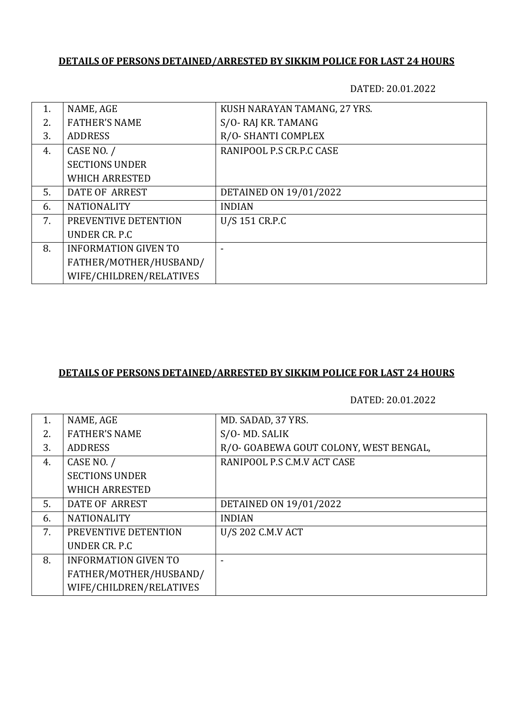## **DETAILS OF PERSONS DETAINED/ARRESTED BY SIKKIM POLICE FOR LAST 24 HOURS**

DATED: 20.01.2022

| 1. | NAME, AGE                   | KUSH NARAYAN TAMANG, 27 YRS. |
|----|-----------------------------|------------------------------|
| 2. | <b>FATHER'S NAME</b>        | S/O-RAJ KR. TAMANG           |
| 3. | <b>ADDRESS</b>              | R/O-SHANTI COMPLEX           |
| 4. | CASE NO. /                  | RANIPOOL P.S CR.P.C CASE     |
|    | <b>SECTIONS UNDER</b>       |                              |
|    | <b>WHICH ARRESTED</b>       |                              |
| 5. | DATE OF ARREST              | DETAINED ON 19/01/2022       |
| 6. | <b>NATIONALITY</b>          | <b>INDIAN</b>                |
| 7. | PREVENTIVE DETENTION        | U/S 151 CR.P.C               |
|    | UNDER CR. P.C.              |                              |
| 8. | <b>INFORMATION GIVEN TO</b> |                              |
|    | FATHER/MOTHER/HUSBAND/      |                              |
|    | WIFE/CHILDREN/RELATIVES     |                              |

## **DETAILS OF PERSONS DETAINED/ARRESTED BY SIKKIM POLICE FOR LAST 24 HOURS**

DATED: 20.01.2022

| 1. | NAME, AGE                   | MD. SADAD, 37 YRS.                     |
|----|-----------------------------|----------------------------------------|
| 2. | <b>FATHER'S NAME</b>        | S/O-MD. SALIK                          |
| 3. | <b>ADDRESS</b>              | R/O- GOABEWA GOUT COLONY, WEST BENGAL, |
| 4. | CASE NO. /                  | RANIPOOL P.S C.M.V ACT CASE            |
|    | <b>SECTIONS UNDER</b>       |                                        |
|    | <b>WHICH ARRESTED</b>       |                                        |
| 5. | DATE OF ARREST              | DETAINED ON 19/01/2022                 |
| 6. | <b>NATIONALITY</b>          | <b>INDIAN</b>                          |
| 7. | PREVENTIVE DETENTION        | U/S 202 C.M.V ACT                      |
|    | UNDER CR. P.C.              |                                        |
| 8. | <b>INFORMATION GIVEN TO</b> |                                        |
|    | FATHER/MOTHER/HUSBAND/      |                                        |
|    | WIFE/CHILDREN/RELATIVES     |                                        |